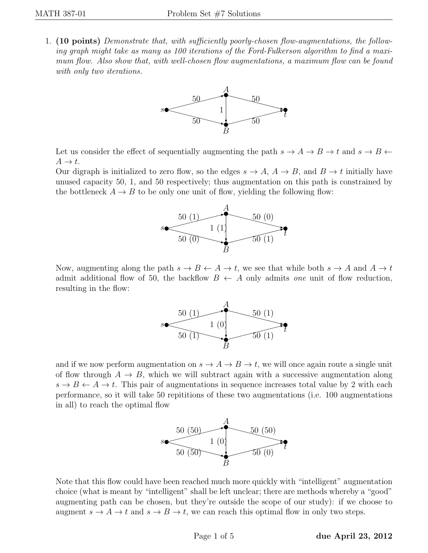1. (10 points) Demonstrate that, with sufficiently poorly-chosen flow-augmentations, the following graph might take as many as 100 iterations of the Ford-Fulkerson algorithm to find a maximum flow. Also show that, with well-chosen flow augmentations, a maximum flow can be found with only two iterations.



Let us consider the effect of sequentially augmenting the path  $s \to A \to B \to t$  and  $s \to B \leftarrow$  $A \rightarrow t$ .

Our digraph is initialized to zero flow, so the edges  $s \to A$ ,  $A \to B$ , and  $B \to t$  initially have unused capacity 50, 1, and 50 respectively; thus augmentation on this path is constrained by the bottleneck  $A \rightarrow B$  to be only one unit of flow, yielding the following flow:



Now, augmenting along the path  $s \to B \leftarrow A \to t$ , we see that while both  $s \to A$  and  $A \to t$ admit additional flow of 50, the backflow  $B \leftarrow A$  only admits one unit of flow reduction, resulting in the flow:



and if we now perform augmentation on  $s \to A \to B \to t$ , we will once again route a single unit of flow through  $A \to B$ , which we will subtract again with a successive augmentation along  $s \to B \leftarrow A \to t$ . This pair of augmentations in sequence increases total value by 2 with each performance, so it will take 50 repititions of these two augmentations (i.e. 100 augmentations in all) to reach the optimal flow



Note that this flow could have been reached much more quickly with "intelligent" augmentation choice (what is meant by "intelligent" shall be left unclear; there are methods whereby a "good" augmenting path can be chosen, but they're outside the scope of our study): if we choose to augment  $s \to A \to t$  and  $s \to B \to t$ , we can reach this optimal flow in only two steps.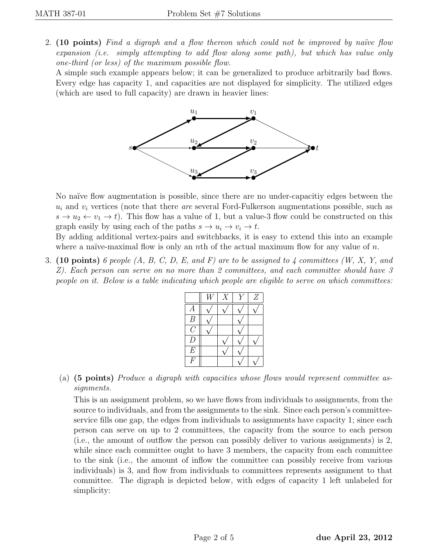2.  $(10 \text{ points})$  Find a digraph and a flow thereon which could not be improved by naïve flow expansion (i.e. simply attempting to add flow along some path), but which has value only one-third (or less) of the maximum possible flow.

A simple such example appears below; it can be generalized to produce arbitrarily bad flows. Every edge has capacity 1, and capacities are not displayed for simplicity. The utilized edges (which are used to full capacity) are drawn in heavier lines:



No naïve flow augmentation is possible, since there are no under-capacitive dges between the  $u_i$  and  $v_i$  vertices (note that there *are* several Ford-Fulkerson augmentations possible, such as  $s \to u_2 \leftarrow v_1 \to t$ ). This flow has a value of 1, but a value-3 flow could be constructed on this graph easily by using each of the paths  $s \to u_i \to v_i \to t$ .

By adding additional vertex-pairs and switchbacks, it is easy to extend this into an example where a naïve-maximal flow is only an nth of the actual maximum flow for any value of  $n$ .

3. (10 points) 6 people  $(A, B, C, D, E, and F)$  are to be assigned to 4 committees  $(W, X, Y, and F)$ Z). Each person can serve on no more than 2 committees, and each committee should have 3 people on it. Below is a table indicating which people are eligible to serve on which committees:

|                | X | Z |
|----------------|---|---|
| A              |   |   |
| B              |   |   |
| $\overline{G}$ |   |   |
| D              |   |   |
| E              |   |   |
|                |   |   |

(a) (5 points) Produce a digraph with capacities whose flows would represent committee assignments.

This is an assignment problem, so we have flows from individuals to assignments, from the source to individuals, and from the assignments to the sink. Since each person's committeeservice fills one gap, the edges from individuals to assignments have capacity 1; since each person can serve on up to 2 committees, the capacity from the source to each person (i.e., the amount of outflow the person can possibly deliver to various assignments) is 2, while since each committee ought to have 3 members, the capacity from each committee to the sink (i.e., the amount of inflow the committee can possibly receive from various individuals) is 3, and flow from individuals to committees represents assignment to that committee. The digraph is depicted below, with edges of capacity 1 left unlabeled for simplicity: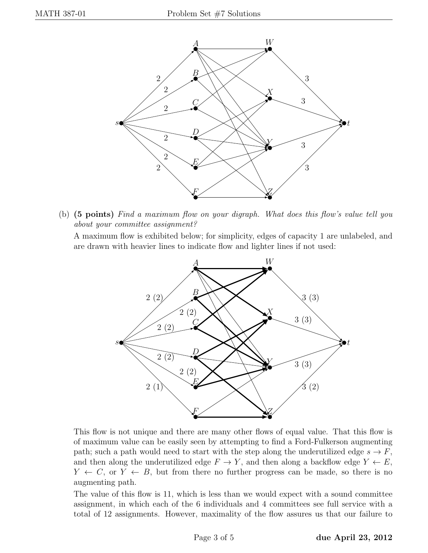

(b) (5 points) Find a maximum flow on your digraph. What does this flow's value tell you about your committee assignment?

A maximum flow is exhibited below; for simplicity, edges of capacity 1 are unlabeled, and are drawn with heavier lines to indicate flow and lighter lines if not used:



This flow is not unique and there are many other flows of equal value. That this flow is of maximum value can be easily seen by attempting to find a Ford-Fulkerson augmenting path; such a path would need to start with the step along the underutilized edge  $s \to F$ , and then along the underutilized edge  $F \to Y$ , and then along a backflow edge  $Y \leftarrow E$ ,  $Y \leftarrow C$ , or  $Y \leftarrow B$ , but from there no further progress can be made, so there is no augmenting path.

The value of this flow is 11, which is less than we would expect with a sound committee assignment, in which each of the 6 individuals and 4 committees see full service with a total of 12 assignments. However, maximality of the flow assures us that our failure to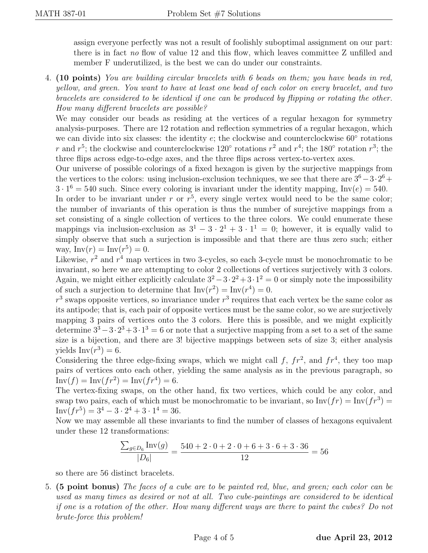assign everyone perfectly was not a result of foolishly suboptimal assignment on our part: there is in fact no flow of value 12 and this flow, which leaves committee Z unfilled and member F underutilized, is the best we can do under our constraints.

4. (10 points) You are building circular bracelets with 6 beads on them; you have beads in red, yellow, and green. You want to have at least one bead of each color on every bracelet, and two bracelets are considered to be identical if one can be produced by flipping or rotating the other. How many different bracelets are possible?

We may consider our beads as residing at the vertices of a regular hexagon for symmetry analysis-purposes. There are 12 rotation and reflection symmetries of a regular hexagon, which we can divide into six classes: the identity  $e$ ; the clockwise and counterclockwise  $60°$  rotations r and  $r^5$ ; the clockwise and counterclockwise 120° rotations  $r^2$  and  $r^4$ ; the 180° rotation  $r^3$ ; the three flips across edge-to-edge axes, and the three flips across vertex-to-vertex axes.

Our universe of possible colorings of a fixed hexagon is given by the surjective mappings from the vertices to the colors: using inclusion-exclusion techniques, we see that there are  $3^6 - 3 \cdot 2^6 +$  $3 \cdot 1^6 = 540$  such. Since every coloring is invariant under the identity mapping, Inv(e) = 540.

In order to be invariant under r or  $r^5$ , every single vertex would need to be the same color; the number of invariants of this operation is thus the number of surejctive mappings from a set consisting of a single collection of vertices to the three colors. We could enumerate these mappings via inclusion-exclusion as  $3^1 - 3 \cdot 2^1 + 3 \cdot 1^1 = 0$ ; however, it is equally valid to simply observe that such a surjection is impossible and that there are thus zero such; either way,  $Inv(r) = Inv(r^5) = 0.$ 

Likewise,  $r^2$  and  $r^4$  map vertices in two 3-cycles, so each 3-cycle must be monochromatic to be invariant, so here we are attempting to color 2 collections of vertices surjectively with 3 colors. Again, we might either explicitly calculate  $3^2 - 3 \cdot 2^2 + 3 \cdot 1^2 = 0$  or simply note the impossibility of such a surjection to determine that  $Inv(r^2) = Inv(r^4) = 0$ .

 $r<sup>3</sup>$  swaps opposite vertices, so invariance under  $r<sup>3</sup>$  requires that each vertex be the same color as its antipode; that is, each pair of opposite vertices must be the same color, so we are surjectively mapping 3 pairs of vertices onto the 3 colors. Here this is possible, and we might explicitly determine  $3^3 - 3 \cdot 2^3 + 3 \cdot 1^3 = 6$  or note that a surjective mapping from a set to a set of the same size is a bijection, and there are 3! bijective mappings between sets of size 3; either analysis yields  $\text{Inv}(r^3) = 6$ .

Considering the three edge-fixing swaps, which we might call f,  $fr^2$ , and  $fr^4$ , they too map pairs of vertices onto each other, yielding the same analysis as in the previous paragraph, so  $\text{Inv}(f) = \text{Inv}(fr^2) = \text{Inv}(fr^4) = 6.$ 

The vertex-fixing swaps, on the other hand, fix two vertices, which could be any color, and swap two pairs, each of which must be monochromatic to be invariant, so  $\text{Inv}(fr) = \text{Inv}(fr^3) =$  $Inv(fr^5) = 3^4 - 3 \cdot 2^4 + 3 \cdot 1^4 = 36.$ 

Now we may assemble all these invariants to find the number of classes of hexagons equivalent under these 12 transformations:

$$
\frac{\sum_{g \in D_6} \text{Inv}(g)}{|D_6|} = \frac{540 + 2 \cdot 0 + 2 \cdot 0 + 6 + 3 \cdot 6 + 3 \cdot 36}{12} = 56
$$

so there are 56 distinct bracelets.

5. (5 point bonus) The faces of a cube are to be painted red, blue, and green; each color can be used as many times as desired or not at all. Two cube-paintings are considered to be identical if one is a rotation of the other. How many different ways are there to paint the cubes? Do not brute-force this problem!